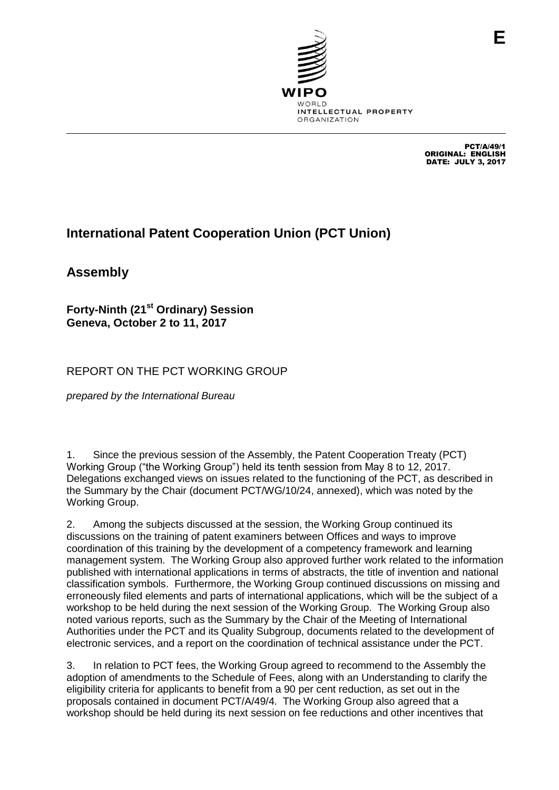

PCT/A/49/1 ORIGINAL: ENGLISH DATE: JULY 3, 2017

**E**

# **International Patent Cooperation Union (PCT Union)**

**Assembly**

**Forty-Ninth (21st Ordinary) Session Geneva, October 2 to 11, 2017**

REPORT ON THE PCT WORKING GROUP

*prepared by the International Bureau* 

1. Since the previous session of the Assembly, the Patent Cooperation Treaty (PCT) Working Group ("the Working Group") held its tenth session from May 8 to 12, 2017. Delegations exchanged views on issues related to the functioning of the PCT, as described in the Summary by the Chair (document PCT/WG/10/24, annexed), which was noted by the Working Group.

2. Among the subjects discussed at the session, the Working Group continued its discussions on the training of patent examiners between Offices and ways to improve coordination of this training by the development of a competency framework and learning management system. The Working Group also approved further work related to the information published with international applications in terms of abstracts, the title of invention and national classification symbols. Furthermore, the Working Group continued discussions on missing and erroneously filed elements and parts of international applications, which will be the subject of a workshop to be held during the next session of the Working Group. The Working Group also noted various reports, such as the Summary by the Chair of the Meeting of International Authorities under the PCT and its Quality Subgroup, documents related to the development of electronic services, and a report on the coordination of technical assistance under the PCT.

3. In relation to PCT fees, the Working Group agreed to recommend to the Assembly the adoption of amendments to the Schedule of Fees, along with an Understanding to clarify the eligibility criteria for applicants to benefit from a 90 per cent reduction, as set out in the proposals contained in document PCT/A/49/4. The Working Group also agreed that a workshop should be held during its next session on fee reductions and other incentives that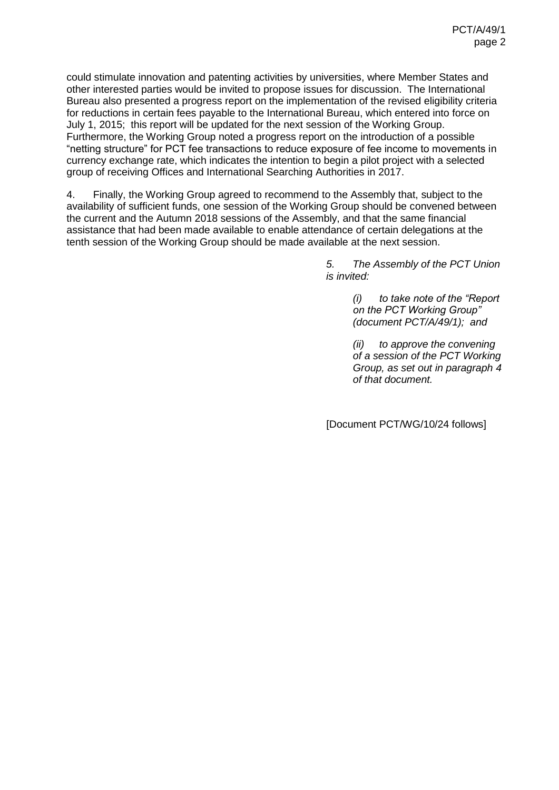could stimulate innovation and patenting activities by universities, where Member States and other interested parties would be invited to propose issues for discussion. The International Bureau also presented a progress report on the implementation of the revised eligibility criteria for reductions in certain fees payable to the International Bureau, which entered into force on July 1, 2015; this report will be updated for the next session of the Working Group. Furthermore, the Working Group noted a progress report on the introduction of a possible "netting structure" for PCT fee transactions to reduce exposure of fee income to movements in currency exchange rate, which indicates the intention to begin a pilot project with a selected group of receiving Offices and International Searching Authorities in 2017.

<span id="page-1-0"></span>4. Finally, the Working Group agreed to recommend to the Assembly that, subject to the availability of sufficient funds, one session of the Working Group should be convened between the current and the Autumn 2018 sessions of the Assembly, and that the same financial assistance that had been made available to enable attendance of certain delegations at the tenth session of the Working Group should be made available at the next session.

> *5. The Assembly of the PCT Union is invited:*

> > *(i) to take note of the "Report on the PCT Working Group" (document PCT/A/49/1); and*

*(ii) to approve the convening of a session of the PCT Working Group, as set out in paragraph [4](#page-1-0) of that document.*

[Document PCT/WG/10/24 follows]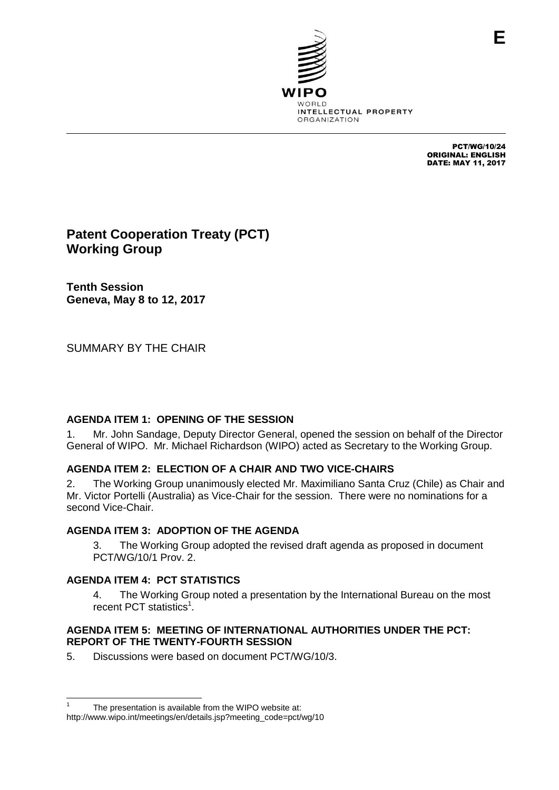

PCT/WG/10/24 ORIGINAL: ENGLISH DATE: MAY 11, 2017

# **Patent Cooperation Treaty (PCT) Working Group**

**Tenth Session Geneva, May 8 to 12, 2017**

SUMMARY BY THE CHAIR

# **AGENDA ITEM 1: OPENING OF THE SESSION**

1. Mr. John Sandage, Deputy Director General, opened the session on behalf of the Director General of WIPO. Mr. Michael Richardson (WIPO) acted as Secretary to the Working Group.

# **AGENDA ITEM 2: ELECTION OF A CHAIR AND TWO VICE-CHAIRS**

2. The Working Group unanimously elected Mr. Maximiliano Santa Cruz (Chile) as Chair and Mr. Victor Portelli (Australia) as Vice-Chair for the session. There were no nominations for a second Vice-Chair.

# **AGENDA ITEM 3: ADOPTION OF THE AGENDA**

3. The Working Group adopted the revised draft agenda as proposed in document PCT/WG/10/1 Prov. 2.

# **AGENDA ITEM 4: PCT STATISTICS**

4. The Working Group noted a presentation by the International Bureau on the most recent PCT statistics<sup>1</sup>.

#### **AGENDA ITEM 5: MEETING OF INTERNATIONAL AUTHORITIES UNDER THE PCT: REPORT OF THE TWENTY-FOURTH SESSION**

5. Discussions were based on document PCT/WG/10/3.

 $\overline{a}$ 1 The presentation is available from the WIPO website at: http://www.wipo.int/meetings/en/details.jsp?meeting\_code=pct/wg/10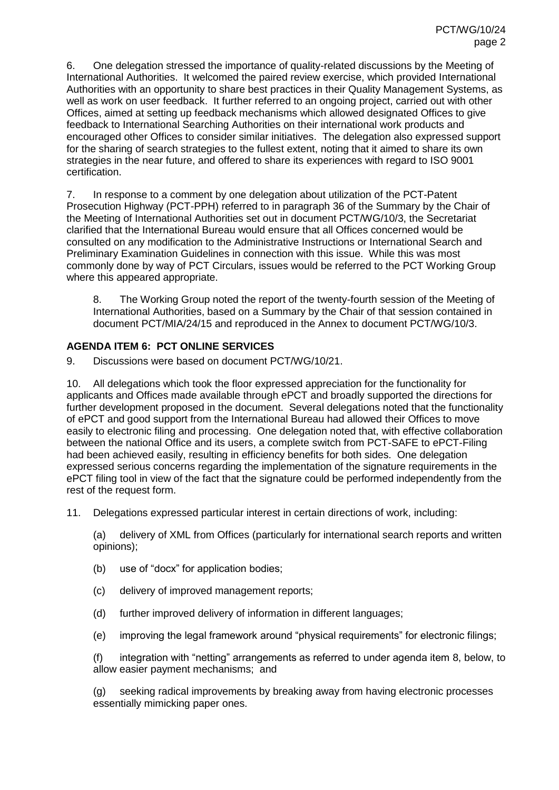6. One delegation stressed the importance of quality-related discussions by the Meeting of International Authorities. It welcomed the paired review exercise, which provided International Authorities with an opportunity to share best practices in their Quality Management Systems, as well as work on user feedback. It further referred to an ongoing project, carried out with other Offices, aimed at setting up feedback mechanisms which allowed designated Offices to give feedback to International Searching Authorities on their international work products and encouraged other Offices to consider similar initiatives. The delegation also expressed support for the sharing of search strategies to the fullest extent, noting that it aimed to share its own strategies in the near future, and offered to share its experiences with regard to ISO 9001 certification.

7. In response to a comment by one delegation about utilization of the PCT-Patent Prosecution Highway (PCT-PPH) referred to in paragraph 36 of the Summary by the Chair of the Meeting of International Authorities set out in document PCT/WG/10/3, the Secretariat clarified that the International Bureau would ensure that all Offices concerned would be consulted on any modification to the Administrative Instructions or International Search and Preliminary Examination Guidelines in connection with this issue. While this was most commonly done by way of PCT Circulars, issues would be referred to the PCT Working Group where this appeared appropriate.

8. The Working Group noted the report of the twenty-fourth session of the Meeting of International Authorities, based on a Summary by the Chair of that session contained in document PCT/MIA/24/15 and reproduced in the Annex to document PCT/WG/10/3.

# **AGENDA ITEM 6: PCT ONLINE SERVICES**

9. Discussions were based on document PCT/WG/10/21.

10. All delegations which took the floor expressed appreciation for the functionality for applicants and Offices made available through ePCT and broadly supported the directions for further development proposed in the document. Several delegations noted that the functionality of ePCT and good support from the International Bureau had allowed their Offices to move easily to electronic filing and processing. One delegation noted that, with effective collaboration between the national Office and its users, a complete switch from PCT-SAFE to ePCT-Filing had been achieved easily, resulting in efficiency benefits for both sides. One delegation expressed serious concerns regarding the implementation of the signature requirements in the ePCT filing tool in view of the fact that the signature could be performed independently from the rest of the request form.

11. Delegations expressed particular interest in certain directions of work, including:

(a) delivery of XML from Offices (particularly for international search reports and written opinions);

- (b) use of "docx" for application bodies;
- (c) delivery of improved management reports;
- (d) further improved delivery of information in different languages;
- (e) improving the legal framework around "physical requirements" for electronic filings;

(f) integration with "netting" arrangements as referred to under agenda item 8, below, to allow easier payment mechanisms; and

(g) seeking radical improvements by breaking away from having electronic processes essentially mimicking paper ones.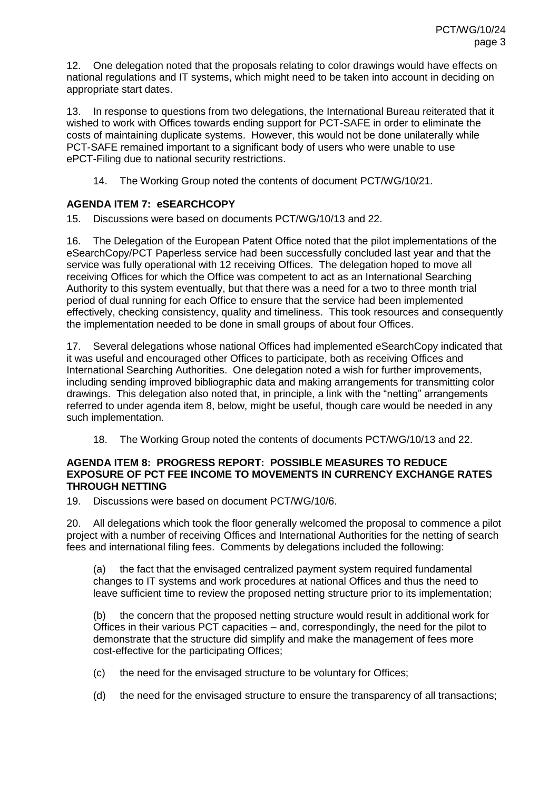12. One delegation noted that the proposals relating to color drawings would have effects on national regulations and IT systems, which might need to be taken into account in deciding on appropriate start dates.

13. In response to questions from two delegations, the International Bureau reiterated that it wished to work with Offices towards ending support for PCT-SAFE in order to eliminate the costs of maintaining duplicate systems. However, this would not be done unilaterally while PCT-SAFE remained important to a significant body of users who were unable to use ePCT-Filing due to national security restrictions.

14. The Working Group noted the contents of document PCT/WG/10/21.

# **AGENDA ITEM 7: eSEARCHCOPY**

15. Discussions were based on documents PCT/WG/10/13 and 22.

16. The Delegation of the European Patent Office noted that the pilot implementations of the eSearchCopy/PCT Paperless service had been successfully concluded last year and that the service was fully operational with 12 receiving Offices. The delegation hoped to move all receiving Offices for which the Office was competent to act as an International Searching Authority to this system eventually, but that there was a need for a two to three month trial period of dual running for each Office to ensure that the service had been implemented effectively, checking consistency, quality and timeliness. This took resources and consequently the implementation needed to be done in small groups of about four Offices.

17. Several delegations whose national Offices had implemented eSearchCopy indicated that it was useful and encouraged other Offices to participate, both as receiving Offices and International Searching Authorities. One delegation noted a wish for further improvements, including sending improved bibliographic data and making arrangements for transmitting color drawings. This delegation also noted that, in principle, a link with the "netting" arrangements referred to under agenda item 8, below, might be useful, though care would be needed in any such implementation.

18. The Working Group noted the contents of documents PCT/WG/10/13 and 22.

### **AGENDA ITEM 8: PROGRESS REPORT: POSSIBLE MEASURES TO REDUCE EXPOSURE OF PCT FEE INCOME TO MOVEMENTS IN CURRENCY EXCHANGE RATES THROUGH NETTING**

19. Discussions were based on document PCT/WG/10/6.

20. All delegations which took the floor generally welcomed the proposal to commence a pilot project with a number of receiving Offices and International Authorities for the netting of search fees and international filing fees. Comments by delegations included the following:

(a) the fact that the envisaged centralized payment system required fundamental changes to IT systems and work procedures at national Offices and thus the need to leave sufficient time to review the proposed netting structure prior to its implementation;

(b) the concern that the proposed netting structure would result in additional work for Offices in their various PCT capacities – and, correspondingly, the need for the pilot to demonstrate that the structure did simplify and make the management of fees more cost-effective for the participating Offices;

- (c) the need for the envisaged structure to be voluntary for Offices;
- (d) the need for the envisaged structure to ensure the transparency of all transactions;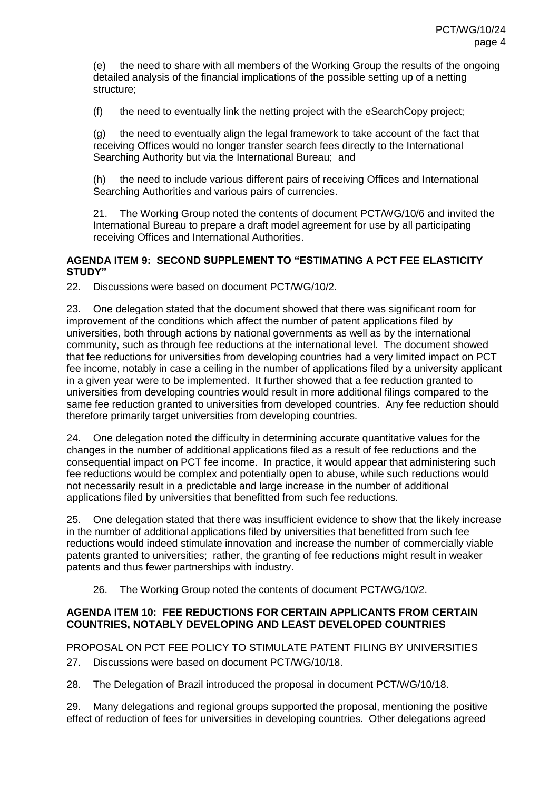(e) the need to share with all members of the Working Group the results of the ongoing detailed analysis of the financial implications of the possible setting up of a netting structure;

(f) the need to eventually link the netting project with the eSearchCopy project;

(g) the need to eventually align the legal framework to take account of the fact that receiving Offices would no longer transfer search fees directly to the International Searching Authority but via the International Bureau; and

(h) the need to include various different pairs of receiving Offices and International Searching Authorities and various pairs of currencies.

21. The Working Group noted the contents of document PCT/WG/10/6 and invited the International Bureau to prepare a draft model agreement for use by all participating receiving Offices and International Authorities.

#### **AGENDA ITEM 9: SECOND SUPPLEMENT TO "ESTIMATING A PCT FEE ELASTICITY STUDY"**

22. Discussions were based on document PCT/WG/10/2.

23. One delegation stated that the document showed that there was significant room for improvement of the conditions which affect the number of patent applications filed by universities, both through actions by national governments as well as by the international community, such as through fee reductions at the international level. The document showed that fee reductions for universities from developing countries had a very limited impact on PCT fee income, notably in case a ceiling in the number of applications filed by a university applicant in a given year were to be implemented. It further showed that a fee reduction granted to universities from developing countries would result in more additional filings compared to the same fee reduction granted to universities from developed countries. Any fee reduction should therefore primarily target universities from developing countries.

24. One delegation noted the difficulty in determining accurate quantitative values for the changes in the number of additional applications filed as a result of fee reductions and the consequential impact on PCT fee income. In practice, it would appear that administering such fee reductions would be complex and potentially open to abuse, while such reductions would not necessarily result in a predictable and large increase in the number of additional applications filed by universities that benefitted from such fee reductions.

25. One delegation stated that there was insufficient evidence to show that the likely increase in the number of additional applications filed by universities that benefitted from such fee reductions would indeed stimulate innovation and increase the number of commercially viable patents granted to universities; rather, the granting of fee reductions might result in weaker patents and thus fewer partnerships with industry.

26. The Working Group noted the contents of document PCT/WG/10/2.

#### **AGENDA ITEM 10: FEE REDUCTIONS FOR CERTAIN APPLICANTS FROM CERTAIN COUNTRIES, NOTABLY DEVELOPING AND LEAST DEVELOPED COUNTRIES**

PROPOSAL ON PCT FEE POLICY TO STIMULATE PATENT FILING BY UNIVERSITIES 27. Discussions were based on document PCT/WG/10/18.

28. The Delegation of Brazil introduced the proposal in document PCT/WG/10/18.

29. Many delegations and regional groups supported the proposal, mentioning the positive effect of reduction of fees for universities in developing countries. Other delegations agreed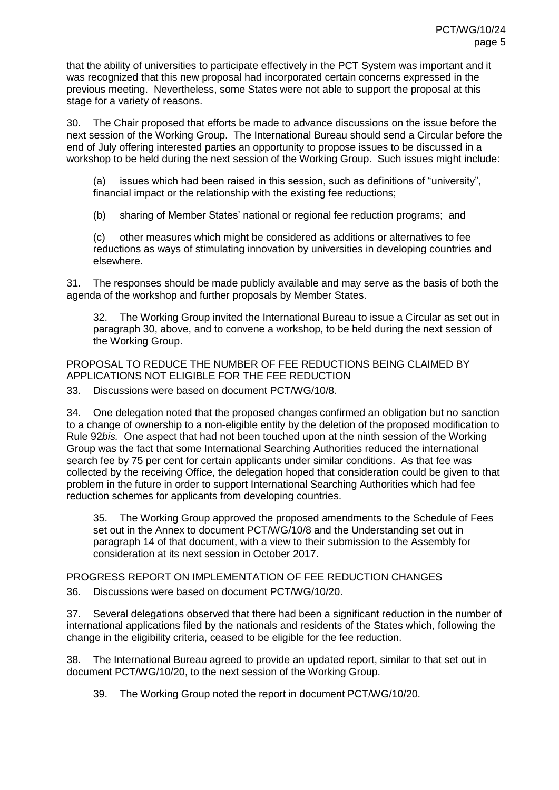that the ability of universities to participate effectively in the PCT System was important and it was recognized that this new proposal had incorporated certain concerns expressed in the previous meeting. Nevertheless, some States were not able to support the proposal at this stage for a variety of reasons.

<span id="page-6-0"></span>30. The Chair proposed that efforts be made to advance discussions on the issue before the next session of the Working Group. The International Bureau should send a Circular before the end of July offering interested parties an opportunity to propose issues to be discussed in a workshop to be held during the next session of the Working Group. Such issues might include:

(a) issues which had been raised in this session, such as definitions of "university", financial impact or the relationship with the existing fee reductions;

(b) sharing of Member States' national or regional fee reduction programs; and

(c) other measures which might be considered as additions or alternatives to fee reductions as ways of stimulating innovation by universities in developing countries and elsewhere.

31. The responses should be made publicly available and may serve as the basis of both the agenda of the workshop and further proposals by Member States.

32. The Working Group invited the International Bureau to issue a Circular as set out in paragraph [30,](#page-6-0) above, and to convene a workshop, to be held during the next session of the Working Group.

PROPOSAL TO REDUCE THE NUMBER OF FEE REDUCTIONS BEING CLAIMED BY APPLICATIONS NOT ELIGIBLE FOR THE FEE REDUCTION

33. Discussions were based on document PCT/WG/10/8.

34. One delegation noted that the proposed changes confirmed an obligation but no sanction to a change of ownership to a non-eligible entity by the deletion of the proposed modification to Rule 92*bis.* One aspect that had not been touched upon at the ninth session of the Working Group was the fact that some International Searching Authorities reduced the international search fee by 75 per cent for certain applicants under similar conditions. As that fee was collected by the receiving Office, the delegation hoped that consideration could be given to that problem in the future in order to support International Searching Authorities which had fee reduction schemes for applicants from developing countries.

35. The Working Group approved the proposed amendments to the Schedule of Fees set out in the Annex to document PCT/WG/10/8 and the Understanding set out in paragraph 14 of that document, with a view to their submission to the Assembly for consideration at its next session in October 2017.

PROGRESS REPORT ON IMPLEMENTATION OF FEE REDUCTION CHANGES

36. Discussions were based on document PCT/WG/10/20.

37. Several delegations observed that there had been a significant reduction in the number of international applications filed by the nationals and residents of the States which, following the change in the eligibility criteria, ceased to be eligible for the fee reduction.

38. The International Bureau agreed to provide an updated report, similar to that set out in document PCT/WG/10/20, to the next session of the Working Group.

39. The Working Group noted the report in document PCT/WG/10/20.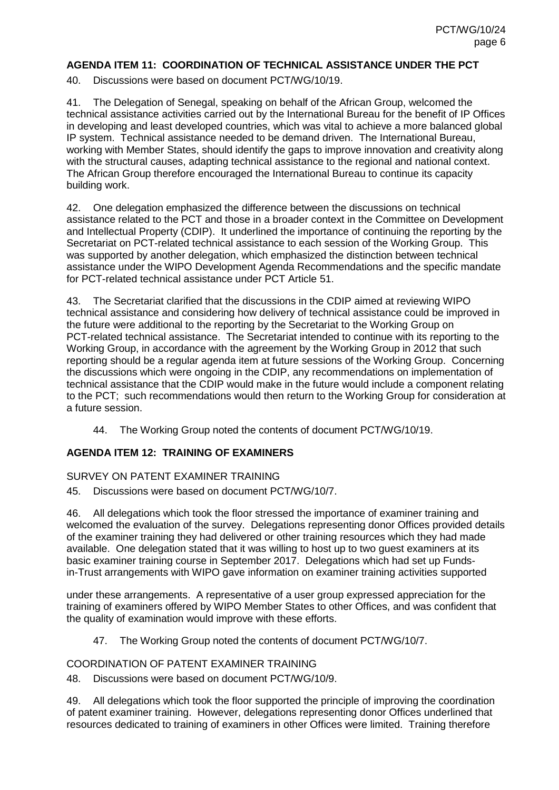#### **AGENDA ITEM 11: COORDINATION OF TECHNICAL ASSISTANCE UNDER THE PCT**

40. Discussions were based on document PCT/WG/10/19.

41. The Delegation of Senegal, speaking on behalf of the African Group, welcomed the technical assistance activities carried out by the International Bureau for the benefit of IP Offices in developing and least developed countries, which was vital to achieve a more balanced global IP system. Technical assistance needed to be demand driven. The International Bureau, working with Member States, should identify the gaps to improve innovation and creativity along with the structural causes, adapting technical assistance to the regional and national context. The African Group therefore encouraged the International Bureau to continue its capacity building work.

42. One delegation emphasized the difference between the discussions on technical assistance related to the PCT and those in a broader context in the Committee on Development and Intellectual Property (CDIP). It underlined the importance of continuing the reporting by the Secretariat on PCT-related technical assistance to each session of the Working Group. This was supported by another delegation, which emphasized the distinction between technical assistance under the WIPO Development Agenda Recommendations and the specific mandate for PCT-related technical assistance under PCT Article 51.

43. The Secretariat clarified that the discussions in the CDIP aimed at reviewing WIPO technical assistance and considering how delivery of technical assistance could be improved in the future were additional to the reporting by the Secretariat to the Working Group on PCT-related technical assistance. The Secretariat intended to continue with its reporting to the Working Group, in accordance with the agreement by the Working Group in 2012 that such reporting should be a regular agenda item at future sessions of the Working Group. Concerning the discussions which were ongoing in the CDIP, any recommendations on implementation of technical assistance that the CDIP would make in the future would include a component relating to the PCT; such recommendations would then return to the Working Group for consideration at a future session.

44. The Working Group noted the contents of document PCT/WG/10/19.

#### **AGENDA ITEM 12: TRAINING OF EXAMINERS**

#### SURVEY ON PATENT EXAMINER TRAINING

45. Discussions were based on document PCT/WG/10/7.

46. All delegations which took the floor stressed the importance of examiner training and welcomed the evaluation of the survey. Delegations representing donor Offices provided details of the examiner training they had delivered or other training resources which they had made available. One delegation stated that it was willing to host up to two guest examiners at its basic examiner training course in September 2017. Delegations which had set up Fundsin-Trust arrangements with WIPO gave information on examiner training activities supported

under these arrangements. A representative of a user group expressed appreciation for the training of examiners offered by WIPO Member States to other Offices, and was confident that the quality of examination would improve with these efforts.

47. The Working Group noted the contents of document PCT/WG/10/7.

#### COORDINATION OF PATENT EXAMINER TRAINING

48. Discussions were based on document PCT/WG/10/9.

49. All delegations which took the floor supported the principle of improving the coordination of patent examiner training. However, delegations representing donor Offices underlined that resources dedicated to training of examiners in other Offices were limited. Training therefore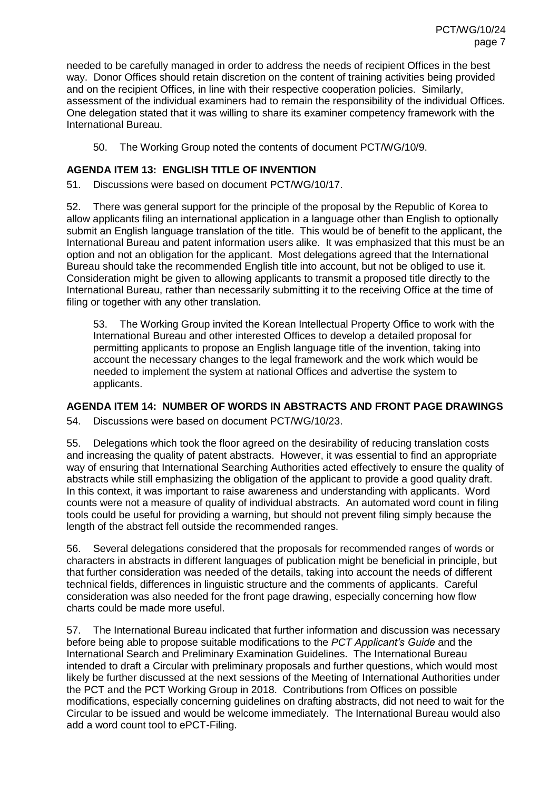needed to be carefully managed in order to address the needs of recipient Offices in the best way. Donor Offices should retain discretion on the content of training activities being provided and on the recipient Offices, in line with their respective cooperation policies. Similarly, assessment of the individual examiners had to remain the responsibility of the individual Offices. One delegation stated that it was willing to share its examiner competency framework with the International Bureau.

50. The Working Group noted the contents of document PCT/WG/10/9.

# **AGENDA ITEM 13: ENGLISH TITLE OF INVENTION**

51. Discussions were based on document PCT/WG/10/17.

52. There was general support for the principle of the proposal by the Republic of Korea to allow applicants filing an international application in a language other than English to optionally submit an English language translation of the title. This would be of benefit to the applicant, the International Bureau and patent information users alike. It was emphasized that this must be an option and not an obligation for the applicant. Most delegations agreed that the International Bureau should take the recommended English title into account, but not be obliged to use it. Consideration might be given to allowing applicants to transmit a proposed title directly to the International Bureau, rather than necessarily submitting it to the receiving Office at the time of filing or together with any other translation.

53. The Working Group invited the Korean Intellectual Property Office to work with the International Bureau and other interested Offices to develop a detailed proposal for permitting applicants to propose an English language title of the invention, taking into account the necessary changes to the legal framework and the work which would be needed to implement the system at national Offices and advertise the system to applicants.

# **AGENDA ITEM 14: NUMBER OF WORDS IN ABSTRACTS AND FRONT PAGE DRAWINGS**

54. Discussions were based on document PCT/WG/10/23.

55. Delegations which took the floor agreed on the desirability of reducing translation costs and increasing the quality of patent abstracts. However, it was essential to find an appropriate way of ensuring that International Searching Authorities acted effectively to ensure the quality of abstracts while still emphasizing the obligation of the applicant to provide a good quality draft. In this context, it was important to raise awareness and understanding with applicants. Word counts were not a measure of quality of individual abstracts. An automated word count in filing tools could be useful for providing a warning, but should not prevent filing simply because the length of the abstract fell outside the recommended ranges.

56. Several delegations considered that the proposals for recommended ranges of words or characters in abstracts in different languages of publication might be beneficial in principle, but that further consideration was needed of the details, taking into account the needs of different technical fields, differences in linguistic structure and the comments of applicants. Careful consideration was also needed for the front page drawing, especially concerning how flow charts could be made more useful.

57. The International Bureau indicated that further information and discussion was necessary before being able to propose suitable modifications to the *PCT Applicant's Guide* and the International Search and Preliminary Examination Guidelines. The International Bureau intended to draft a Circular with preliminary proposals and further questions, which would most likely be further discussed at the next sessions of the Meeting of International Authorities under the PCT and the PCT Working Group in 2018. Contributions from Offices on possible modifications, especially concerning guidelines on drafting abstracts, did not need to wait for the Circular to be issued and would be welcome immediately. The International Bureau would also add a word count tool to ePCT-Filing.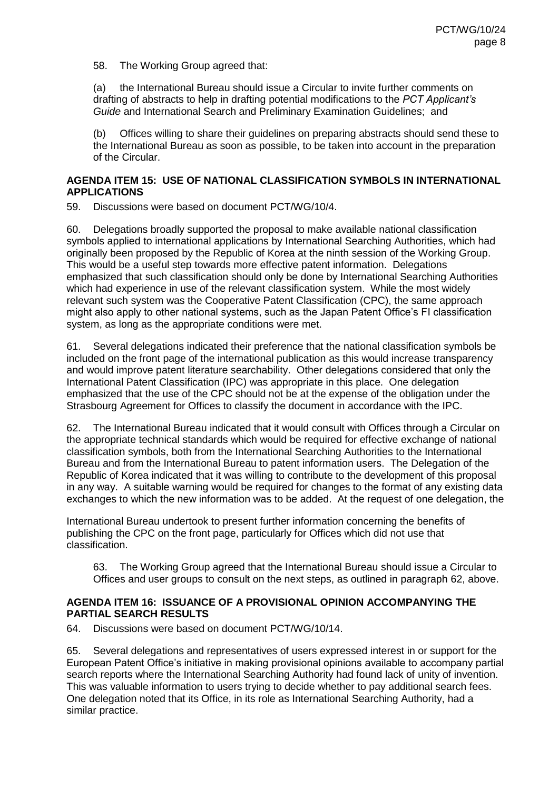58. The Working Group agreed that:

(a) the International Bureau should issue a Circular to invite further comments on drafting of abstracts to help in drafting potential modifications to the *PCT Applicant's Guide* and International Search and Preliminary Examination Guidelines; and

(b) Offices willing to share their guidelines on preparing abstracts should send these to the International Bureau as soon as possible, to be taken into account in the preparation of the Circular.

#### **AGENDA ITEM 15: USE OF NATIONAL CLASSIFICATION SYMBOLS IN INTERNATIONAL APPLICATIONS**

59. Discussions were based on document PCT/WG/10/4.

60. Delegations broadly supported the proposal to make available national classification symbols applied to international applications by International Searching Authorities, which had originally been proposed by the Republic of Korea at the ninth session of the Working Group. This would be a useful step towards more effective patent information. Delegations emphasized that such classification should only be done by International Searching Authorities which had experience in use of the relevant classification system. While the most widely relevant such system was the Cooperative Patent Classification (CPC), the same approach might also apply to other national systems, such as the Japan Patent Office's FI classification system, as long as the appropriate conditions were met.

61. Several delegations indicated their preference that the national classification symbols be included on the front page of the international publication as this would increase transparency and would improve patent literature searchability. Other delegations considered that only the International Patent Classification (IPC) was appropriate in this place. One delegation emphasized that the use of the CPC should not be at the expense of the obligation under the Strasbourg Agreement for Offices to classify the document in accordance with the IPC.

<span id="page-9-0"></span>62. The International Bureau indicated that it would consult with Offices through a Circular on the appropriate technical standards which would be required for effective exchange of national classification symbols, both from the International Searching Authorities to the International Bureau and from the International Bureau to patent information users. The Delegation of the Republic of Korea indicated that it was willing to contribute to the development of this proposal in any way. A suitable warning would be required for changes to the format of any existing data exchanges to which the new information was to be added. At the request of one delegation, the

International Bureau undertook to present further information concerning the benefits of publishing the CPC on the front page, particularly for Offices which did not use that classification.

63. The Working Group agreed that the International Bureau should issue a Circular to Offices and user groups to consult on the next steps, as outlined in paragraph [62,](#page-9-0) above.

## **AGENDA ITEM 16: ISSUANCE OF A PROVISIONAL OPINION ACCOMPANYING THE PARTIAL SEARCH RESULTS**

64. Discussions were based on document PCT/WG/10/14.

65. Several delegations and representatives of users expressed interest in or support for the European Patent Office's initiative in making provisional opinions available to accompany partial search reports where the International Searching Authority had found lack of unity of invention. This was valuable information to users trying to decide whether to pay additional search fees. One delegation noted that its Office, in its role as International Searching Authority, had a similar practice.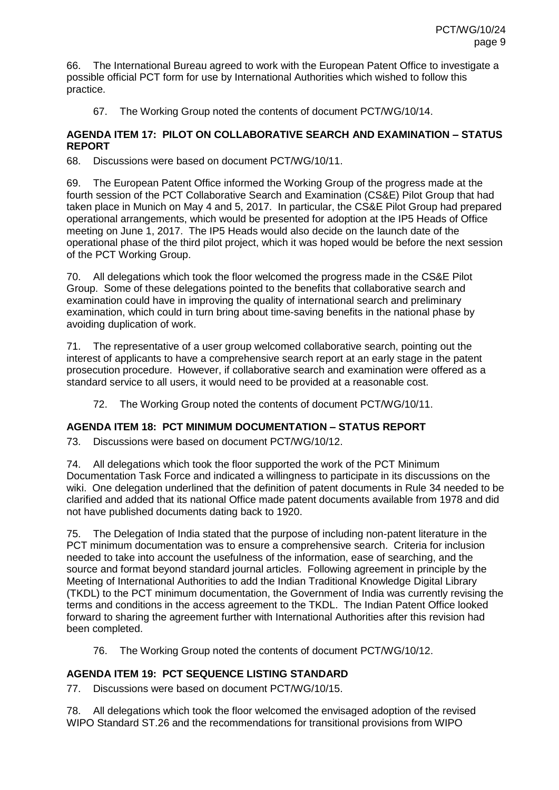66. The International Bureau agreed to work with the European Patent Office to investigate a possible official PCT form for use by International Authorities which wished to follow this practice.

67. The Working Group noted the contents of document PCT/WG/10/14.

#### **AGENDA ITEM 17: PILOT ON COLLABORATIVE SEARCH AND EXAMINATION – STATUS REPORT**

68. Discussions were based on document PCT/WG/10/11.

69. The European Patent Office informed the Working Group of the progress made at the fourth session of the PCT Collaborative Search and Examination (CS&E) Pilot Group that had taken place in Munich on May 4 and 5, 2017. In particular, the CS&E Pilot Group had prepared operational arrangements, which would be presented for adoption at the IP5 Heads of Office meeting on June 1, 2017. The IP5 Heads would also decide on the launch date of the operational phase of the third pilot project, which it was hoped would be before the next session of the PCT Working Group.

70. All delegations which took the floor welcomed the progress made in the CS&E Pilot Group. Some of these delegations pointed to the benefits that collaborative search and examination could have in improving the quality of international search and preliminary examination, which could in turn bring about time-saving benefits in the national phase by avoiding duplication of work.

71. The representative of a user group welcomed collaborative search, pointing out the interest of applicants to have a comprehensive search report at an early stage in the patent prosecution procedure. However, if collaborative search and examination were offered as a standard service to all users, it would need to be provided at a reasonable cost.

72. The Working Group noted the contents of document PCT/WG/10/11.

# **AGENDA ITEM 18: PCT MINIMUM DOCUMENTATION – STATUS REPORT**

73. Discussions were based on document PCT/WG/10/12.

74. All delegations which took the floor supported the work of the PCT Minimum Documentation Task Force and indicated a willingness to participate in its discussions on the wiki. One delegation underlined that the definition of patent documents in Rule 34 needed to be clarified and added that its national Office made patent documents available from 1978 and did not have published documents dating back to 1920.

75. The Delegation of India stated that the purpose of including non-patent literature in the PCT minimum documentation was to ensure a comprehensive search. Criteria for inclusion needed to take into account the usefulness of the information, ease of searching, and the source and format beyond standard journal articles. Following agreement in principle by the Meeting of International Authorities to add the Indian Traditional Knowledge Digital Library (TKDL) to the PCT minimum documentation, the Government of India was currently revising the terms and conditions in the access agreement to the TKDL. The Indian Patent Office looked forward to sharing the agreement further with International Authorities after this revision had been completed.

76. The Working Group noted the contents of document PCT/WG/10/12.

# **AGENDA ITEM 19: PCT SEQUENCE LISTING STANDARD**

77. Discussions were based on document PCT/WG/10/15.

78. All delegations which took the floor welcomed the envisaged adoption of the revised WIPO Standard ST.26 and the recommendations for transitional provisions from WIPO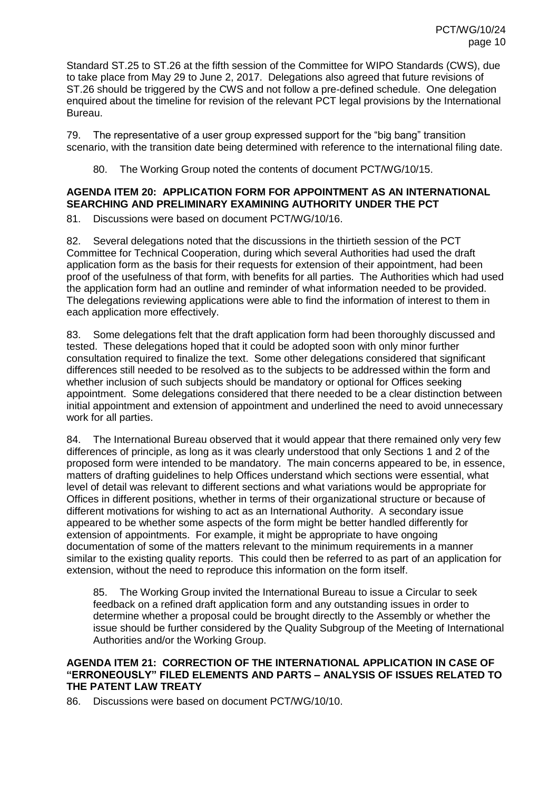Standard ST.25 to ST.26 at the fifth session of the Committee for WIPO Standards (CWS), due to take place from May 29 to June 2, 2017. Delegations also agreed that future revisions of ST.26 should be triggered by the CWS and not follow a pre-defined schedule. One delegation enquired about the timeline for revision of the relevant PCT legal provisions by the International Bureau.

79. The representative of a user group expressed support for the "big bang" transition scenario, with the transition date being determined with reference to the international filing date.

80. The Working Group noted the contents of document PCT/WG/10/15.

# **AGENDA ITEM 20: APPLICATION FORM FOR APPOINTMENT AS AN INTERNATIONAL SEARCHING AND PRELIMINARY EXAMINING AUTHORITY UNDER THE PCT**

81. Discussions were based on document PCT/WG/10/16.

82. Several delegations noted that the discussions in the thirtieth session of the PCT Committee for Technical Cooperation, during which several Authorities had used the draft application form as the basis for their requests for extension of their appointment, had been proof of the usefulness of that form, with benefits for all parties. The Authorities which had used the application form had an outline and reminder of what information needed to be provided. The delegations reviewing applications were able to find the information of interest to them in each application more effectively.

83. Some delegations felt that the draft application form had been thoroughly discussed and tested. These delegations hoped that it could be adopted soon with only minor further consultation required to finalize the text. Some other delegations considered that significant differences still needed to be resolved as to the subjects to be addressed within the form and whether inclusion of such subjects should be mandatory or optional for Offices seeking appointment. Some delegations considered that there needed to be a clear distinction between initial appointment and extension of appointment and underlined the need to avoid unnecessary work for all parties.

84. The International Bureau observed that it would appear that there remained only very few differences of principle, as long as it was clearly understood that only Sections 1 and 2 of the proposed form were intended to be mandatory. The main concerns appeared to be, in essence, matters of drafting guidelines to help Offices understand which sections were essential, what level of detail was relevant to different sections and what variations would be appropriate for Offices in different positions, whether in terms of their organizational structure or because of different motivations for wishing to act as an International Authority. A secondary issue appeared to be whether some aspects of the form might be better handled differently for extension of appointments. For example, it might be appropriate to have ongoing documentation of some of the matters relevant to the minimum requirements in a manner similar to the existing quality reports. This could then be referred to as part of an application for extension, without the need to reproduce this information on the form itself.

85. The Working Group invited the International Bureau to issue a Circular to seek feedback on a refined draft application form and any outstanding issues in order to determine whether a proposal could be brought directly to the Assembly or whether the issue should be further considered by the Quality Subgroup of the Meeting of International Authorities and/or the Working Group.

#### **AGENDA ITEM 21: CORRECTION OF THE INTERNATIONAL APPLICATION IN CASE OF "ERRONEOUSLY" FILED ELEMENTS AND PARTS – ANALYSIS OF ISSUES RELATED TO THE PATENT LAW TREATY**

86. Discussions were based on document PCT/WG/10/10.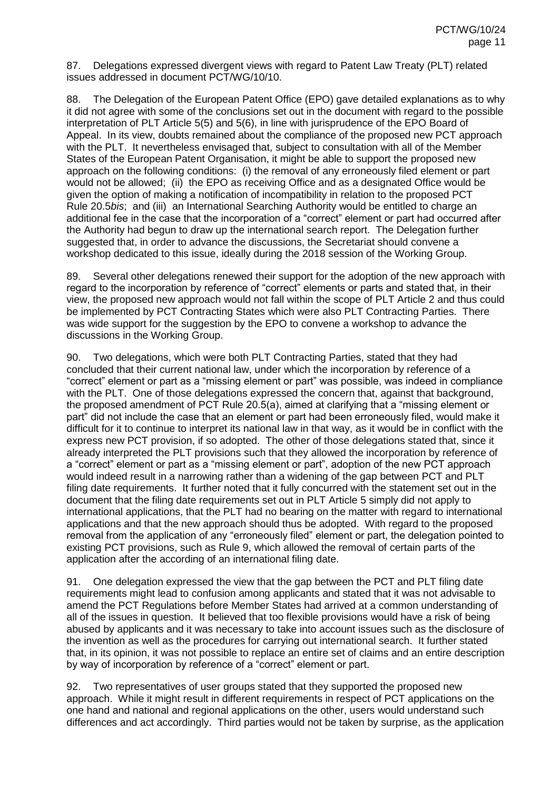87. Delegations expressed divergent views with regard to Patent Law Treaty (PLT) related issues addressed in document PCT/WG/10/10.

88. The Delegation of the European Patent Office (EPO) gave detailed explanations as to why it did not agree with some of the conclusions set out in the document with regard to the possible interpretation of PLT Article 5(5) and 5(6), in line with jurisprudence of the EPO Board of Appeal. In its view, doubts remained about the compliance of the proposed new PCT approach with the PLT. It nevertheless envisaged that, subject to consultation with all of the Member States of the European Patent Organisation, it might be able to support the proposed new approach on the following conditions: (i) the removal of any erroneously filed element or part would not be allowed; (ii) the EPO as receiving Office and as a designated Office would be given the option of making a notification of incompatibility in relation to the proposed PCT Rule 20.5*bis*; and (iii) an International Searching Authority would be entitled to charge an additional fee in the case that the incorporation of a "correct" element or part had occurred after the Authority had begun to draw up the international search report. The Delegation further suggested that, in order to advance the discussions, the Secretariat should convene a workshop dedicated to this issue, ideally during the 2018 session of the Working Group.

89. Several other delegations renewed their support for the adoption of the new approach with regard to the incorporation by reference of "correct" elements or parts and stated that, in their view, the proposed new approach would not fall within the scope of PLT Article 2 and thus could be implemented by PCT Contracting States which were also PLT Contracting Parties. There was wide support for the suggestion by the EPO to convene a workshop to advance the discussions in the Working Group.

90. Two delegations, which were both PLT Contracting Parties, stated that they had concluded that their current national law, under which the incorporation by reference of a "correct" element or part as a "missing element or part" was possible, was indeed in compliance with the PLT. One of those delegations expressed the concern that, against that background, the proposed amendment of PCT Rule 20.5(a), aimed at clarifying that a "missing element or part" did not include the case that an element or part had been erroneously filed, would make it difficult for it to continue to interpret its national law in that way, as it would be in conflict with the express new PCT provision, if so adopted. The other of those delegations stated that, since it already interpreted the PLT provisions such that they allowed the incorporation by reference of a "correct" element or part as a "missing element or part", adoption of the new PCT approach would indeed result in a narrowing rather than a widening of the gap between PCT and PLT filing date requirements. It further noted that it fully concurred with the statement set out in the document that the filing date requirements set out in PLT Article 5 simply did not apply to international applications, that the PLT had no bearing on the matter with regard to international applications and that the new approach should thus be adopted. With regard to the proposed removal from the application of any "erroneously filed" element or part, the delegation pointed to existing PCT provisions, such as Rule 9, which allowed the removal of certain parts of the application after the according of an international filing date.

91. One delegation expressed the view that the gap between the PCT and PLT filing date requirements might lead to confusion among applicants and stated that it was not advisable to amend the PCT Regulations before Member States had arrived at a common understanding of all of the issues in question. It believed that too flexible provisions would have a risk of being abused by applicants and it was necessary to take into account issues such as the disclosure of the invention as well as the procedures for carrying out international search. It further stated that, in its opinion, it was not possible to replace an entire set of claims and an entire description by way of incorporation by reference of a "correct" element or part.

92. Two representatives of user groups stated that they supported the proposed new approach. While it might result in different requirements in respect of PCT applications on the one hand and national and regional applications on the other, users would understand such differences and act accordingly. Third parties would not be taken by surprise, as the application